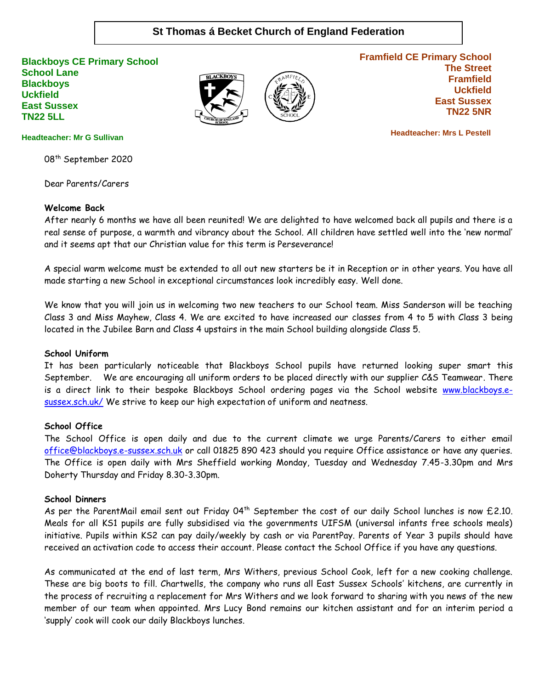# **St Thomas á Becket Church of England Federation**

**Blackboys CE Primary School School Lane Blackboys Uckfield East Sussex TN22 5LL**





**Framfield CE Primary School The Street Framfield Uckfield East Sussex TN22 5NR**

 **Headteacher: Mrs L Pestell**

#### **Headteacher: Mr G Sullivan**

08<sup>th</sup> September 2020

Dear Parents/Carers

### **Welcome Back**

After nearly 6 months we have all been reunited! We are delighted to have welcomed back all pupils and there is a real sense of purpose, a warmth and vibrancy about the School. All children have settled well into the 'new normal' and it seems apt that our Christian value for this term is Perseverance!

A special warm welcome must be extended to all out new starters be it in Reception or in other years. You have all made starting a new School in exceptional circumstances look incredibly easy. Well done.

We know that you will join us in welcoming two new teachers to our School team. Miss Sanderson will be teaching Class 3 and Miss Mayhew, Class 4. We are excited to have increased our classes from 4 to 5 with Class 3 being located in the Jubilee Barn and Class 4 upstairs in the main School building alongside Class 5.

#### **School Uniform**

It has been particularly noticeable that Blackboys School pupils have returned looking super smart this September. We are encouraging all uniform orders to be placed directly with our supplier C&S Teamwear. There is a direct link to their bespoke Blackboys School ordering pages via the School website [www.blackboys.e](http://www.blackboys.e-sussex.sch.uk/)[sussex.sch.uk/](http://www.blackboys.e-sussex.sch.uk/) We strive to keep our high expectation of uniform and neatness.

#### **School Office**

The School Office is open daily and due to the current climate we urge Parents/Carers to either email [office@blackboys.e-sussex.sch.uk](mailto:office@blackboys.e-sussex.sch.uk) or call 01825 890 423 should you require Office assistance or have any queries. The Office is open daily with Mrs Sheffield working Monday, Tuesday and Wednesday 7.45-3.30pm and Mrs Doherty Thursday and Friday 8.30-3.30pm.

#### **School Dinners**

As per the ParentMail email sent out Friday 04<sup>th</sup> September the cost of our daily School lunches is now £2.10. Meals for all KS1 pupils are fully subsidised via the governments UIFSM (universal infants free schools meals) initiative. Pupils within KS2 can pay daily/weekly by cash or via ParentPay. Parents of Year 3 pupils should have received an activation code to access their account. Please contact the School Office if you have any questions.

As communicated at the end of last term, Mrs Withers, previous School Cook, left for a new cooking challenge. These are big boots to fill. Chartwells, the company who runs all East Sussex Schools' kitchens, are currently in the process of recruiting a replacement for Mrs Withers and we look forward to sharing with you news of the new member of our team when appointed. Mrs Lucy Bond remains our kitchen assistant and for an interim period a 'supply' cook will cook our daily Blackboys lunches.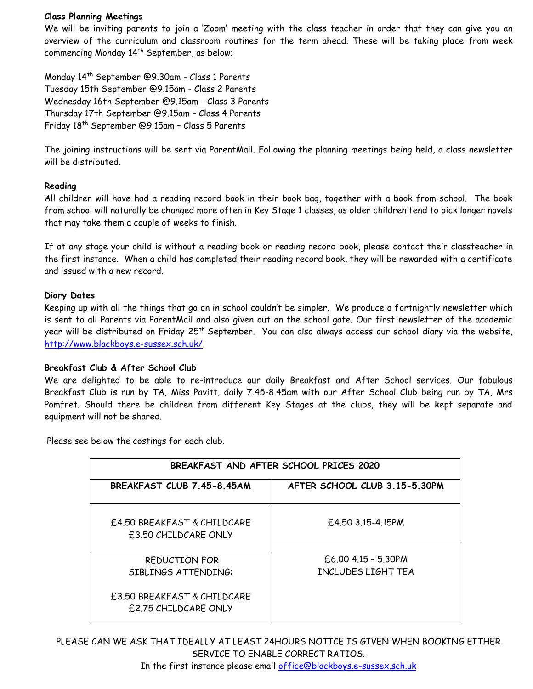### **Class Planning Meetings**

We will be inviting parents to join a 'Zoom' meeting with the class teacher in order that they can give you an overview of the curriculum and classroom routines for the term ahead. These will be taking place from week commencing Monday 14<sup>th</sup> September, as below;

Monday 14th September @9.30am - Class 1 Parents Tuesday 15th September @9.15am - Class 2 Parents Wednesday 16th September @9.15am - Class 3 Parents Thursday 17th September @9.15am – Class 4 Parents Friday 18th September @9.15am – Class 5 Parents

The joining instructions will be sent via ParentMail. Following the planning meetings being held, a class newsletter will be distributed.

### **Reading**

All children will have had a reading record book in their book bag, together with a book from school. The book from school will naturally be changed more often in Key Stage 1 classes, as older children tend to pick longer novels that may take them a couple of weeks to finish.

If at any stage your child is without a reading book or reading record book, please contact their classteacher in the first instance. When a child has completed their reading record book, they will be rewarded with a certificate and issued with a new record.

## **Diary Dates**

Keeping up with all the things that go on in school couldn't be simpler. We produce a fortnightly newsletter which is sent to all Parents via ParentMail and also given out on the school gate. Our first newsletter of the academic year will be distributed on Friday 25<sup>th</sup> September. You can also always access our school diary via the website, <http://www.blackboys.e-sussex.sch.uk/>

### **Breakfast Club & After School Club**

We are delighted to be able to re-introduce our daily Breakfast and After School services. Our fabulous Breakfast Club is run by TA, Miss Pavitt, daily 7.45-8.45am with our After School Club being run by TA, Mrs Pomfret. Should there be children from different Key Stages at the clubs, they will be kept separate and equipment will not be shared.

Please see below the costings for each club.

| BREAKFAST AND AFTER SCHOOL PRICES 2020                      |                                             |  |  |  |
|-------------------------------------------------------------|---------------------------------------------|--|--|--|
| BREAKFAST CLUB 7.45-8.45AM                                  | AFTER SCHOOL CLUB 3 15-5 30PM               |  |  |  |
| £4.50 BREAKFAST & CHILDCARE<br><b>f.3.50 CHILDCARE ONLY</b> | $£4.50$ 3.15-4.15PM                         |  |  |  |
| REDUCTION FOR<br>SIBLINGS ATTENDING:                        | $£6.00$ 4.15 - 5.30PM<br>INCLUDES LIGHT TEA |  |  |  |
| £3.50 BREAKFAST & CHILDCARE<br>£2.75 CHILDCARE ONLY         |                                             |  |  |  |

PLEASE CAN WE ASK THAT IDEALLY AT LEAST 24HOURS NOTICE IS GIVEN WHEN BOOKING EITHER SERVICE TO ENABLE CORRECT RATIOS.

In the first instance please email [office@blackboys.e-sussex.sch.uk](mailto:office@blackboys.e-sussex.sch.uk)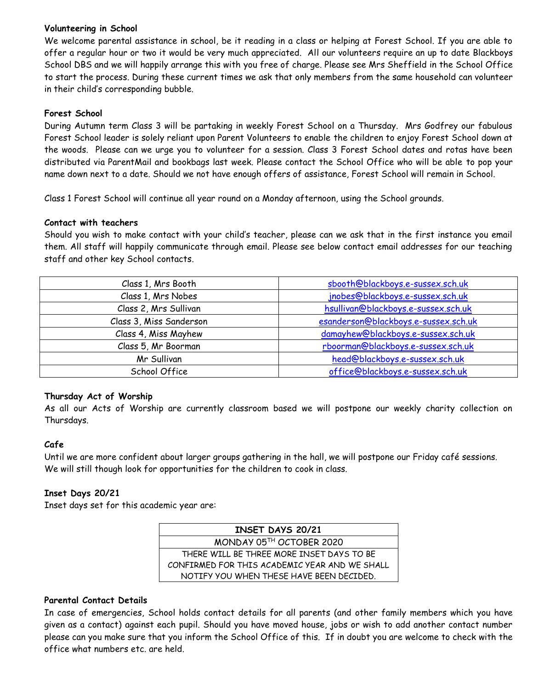## **Volunteering in School**

We welcome parental assistance in school, be it reading in a class or helping at Forest School. If you are able to offer a regular hour or two it would be very much appreciated. All our volunteers require an up to date Blackboys School DBS and we will happily arrange this with you free of charge. Please see Mrs Sheffield in the School Office to start the process. During these current times we ask that only members from the same household can volunteer in their child's corresponding bubble.

## **Forest School**

During Autumn term Class 3 will be partaking in weekly Forest School on a Thursday. Mrs Godfrey our fabulous Forest School leader is solely reliant upon Parent Volunteers to enable the children to enjoy Forest School down at the woods. Please can we urge you to volunteer for a session. Class 3 Forest School dates and rotas have been distributed via ParentMail and bookbags last week. Please contact the School Office who will be able to pop your name down next to a date. Should we not have enough offers of assistance, Forest School will remain in School.

Class 1 Forest School will continue all year round on a Monday afternoon, using the School grounds.

### **Contact with teachers**

Should you wish to make contact with your child's teacher, please can we ask that in the first instance you email them. All staff will happily communicate through email. Please see below contact email addresses for our teaching staff and other key School contacts.

| Class 1, Mrs Booth      | sbooth@blackboys.e-sussex.sch.uk     |  |
|-------------------------|--------------------------------------|--|
| Class 1, Mrs Nobes      | jnobes@blackboys.e-sussex.sch.uk     |  |
| Class 2, Mrs Sullivan   | hsullivan@blackboys.e-sussex.sch.uk  |  |
| Class 3, Miss Sanderson | esanderson@blackboys.e-sussex.sch.uk |  |
| Class 4, Miss Mayhew    | damayhew@blackboys.e-sussex.sch.uk   |  |
| Class 5, Mr Boorman     | rboorman@blackboys.e-sussex.sch.uk   |  |
| Mr Sullivan             | head@blackboys.e-sussex.sch.uk       |  |
| School Office           | office@blackboys.e-sussex.sch.uk     |  |

### **Thursday Act of Worship**

As all our Acts of Worship are currently classroom based we will postpone our weekly charity collection on Thursdays.

## **Cafe**

Until we are more confident about larger groups gathering in the hall, we will postpone our Friday café sessions. We will still though look for opportunities for the children to cook in class.

## **Inset Days 20/21**

Inset days set for this academic year are:

| INSET DAYS 20/21                              |  |  |
|-----------------------------------------------|--|--|
| MONDAY 05TH OCTOBER 2020                      |  |  |
| THERE WILL BE THREE MORE INSET DAYS TO BE     |  |  |
| CONFIRMED FOR THIS ACADEMIC YEAR AND WE SHALL |  |  |
| NOTIFY YOU WHEN THESE HAVE BEEN DECIDED.      |  |  |

### **Parental Contact Details**

In case of emergencies, School holds contact details for all parents (and other family members which you have given as a contact) against each pupil. Should you have moved house, jobs or wish to add another contact number please can you make sure that you inform the School Office of this. If in doubt you are welcome to check with the office what numbers etc. are held.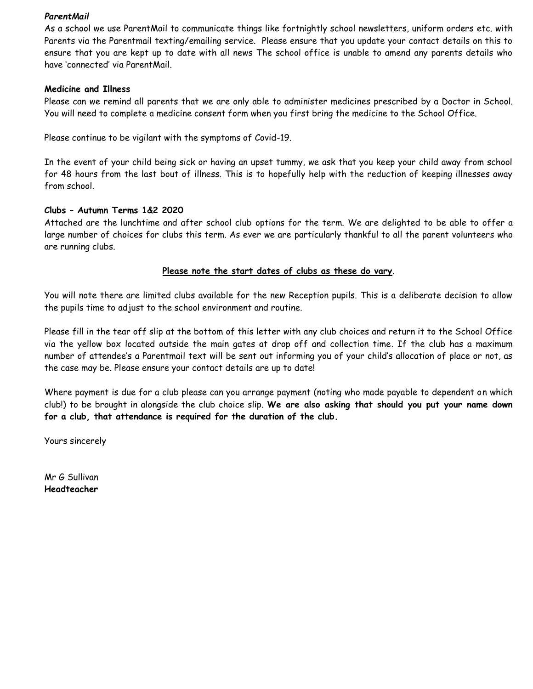### *ParentMail*

As a school we use ParentMail to communicate things like fortnightly school newsletters, uniform orders etc. with Parents via the Parentmail texting/emailing service. Please ensure that you update your contact details on this to ensure that you are kept up to date with all news The school office is unable to amend any parents details who have 'connected' via ParentMail.

### **Medicine and Illness**

Please can we remind all parents that we are only able to administer medicines prescribed by a Doctor in School. You will need to complete a medicine consent form when you first bring the medicine to the School Office.

Please continue to be vigilant with the symptoms of Covid-19.

In the event of your child being sick or having an upset tummy, we ask that you keep your child away from school for 48 hours from the last bout of illness. This is to hopefully help with the reduction of keeping illnesses away from school.

### **Clubs – Autumn Terms 1&2 2020**

Attached are the lunchtime and after school club options for the term. We are delighted to be able to offer a large number of choices for clubs this term. As ever we are particularly thankful to all the parent volunteers who are running clubs.

### **Please note the start dates of clubs as these do vary**.

You will note there are limited clubs available for the new Reception pupils. This is a deliberate decision to allow the pupils time to adjust to the school environment and routine.

Please fill in the tear off slip at the bottom of this letter with any club choices and return it to the School Office via the yellow box located outside the main gates at drop off and collection time. If the club has a maximum number of attendee's a Parentmail text will be sent out informing you of your child's allocation of place or not, as the case may be. Please ensure your contact details are up to date!

Where payment is due for a club please can you arrange payment (noting who made payable to dependent on which club!) to be brought in alongside the club choice slip. **We are also asking that should you put your name down for a club, that attendance is required for the duration of the club.**

Yours sincerely

Mr G Sullivan **Headteacher**